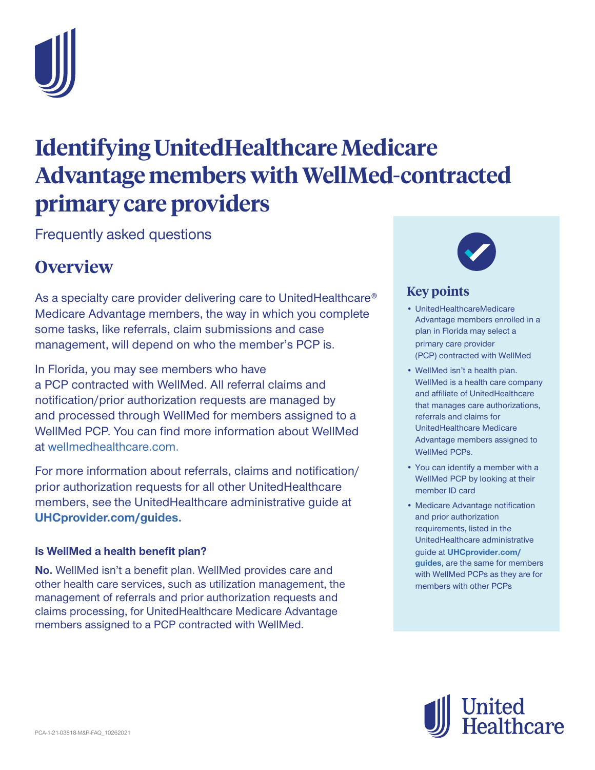

# **Identifying UnitedHealthcare Medicare Advantage members with WellMed-contracted primary care providers**

Frequently asked questions

## **Overview**

As a specialty care provider delivering care to UnitedHealthcare® Medicare Advantage members, the way in which you complete some tasks, like referrals, claim submissions and case management, will depend on who the member's PCP is.

In Florida, you may see members who have a PCP contracted with WellMed. All referral claims and notification/prior authorization requests are managed by and processed through WellMed for members assigned to a WellMed PCP. You can find more information about WellMed at [wellmedhealthcare.com.](http://www.wellmedhealthcare.com/)

For more information about referrals, claims and notification/ prior authorization requests for all other UnitedHealthcare members, see the UnitedHealthcare administrative guide at **[UHCprovider.com/guides.](https://www.uhcprovider.com/guides)**

#### **Is WellMed a health benefit plan?**

**No.** WellMed isn't a benefit plan. WellMed provides care and other health care services, such as utilization management, the management of referrals and prior authorization requests and claims processing, for UnitedHealthcare Medicare Advantage members assigned to a PCP contracted with WellMed.



### **Key points**

- UnitedHealthcare Medicare Advantage members enrolled in a plan in Florida may select a primary care provider (PCP) contracted with WellMed
- WellMed isn't a health plan. WellMed is a health care company and affiliate of UnitedHealthcare that manages care authorizations, referrals and claims for UnitedHealthcare Medicare Advantage members assigned to WellMed PCPs.
- You can identify a member with a WellMed PCP by looking at their member ID card
- Medicare Advantage notification and prior authorization requirements, listed in the UnitedHealthcare administrative guide at **[UHCprovider.com/](https://www.uhcprovider.com/guides) [guides](https://www.uhcprovider.com/guides)**, are the same for members with WellMed PCPs as they are for members with other PCPs

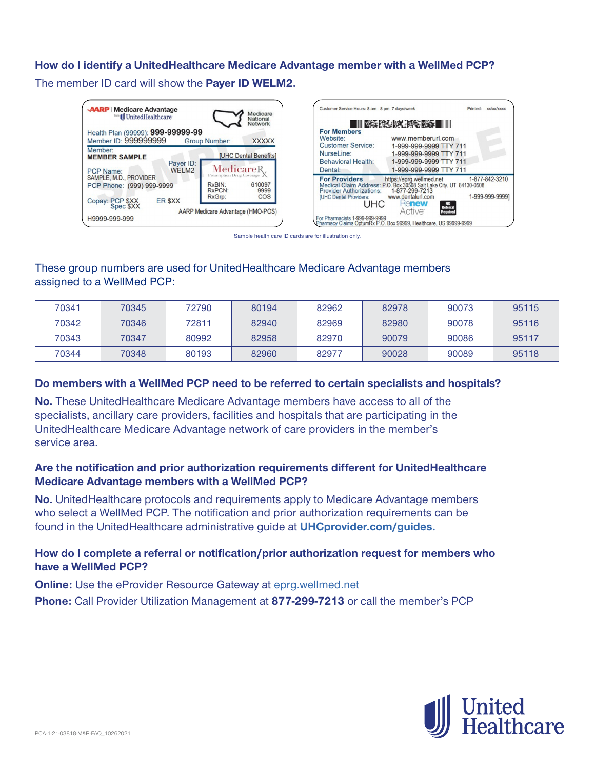#### **How do I identify a UnitedHealthcare Medicare Advantage member with a WellMed PCP?**

The member ID card will show the **Payer ID WELM2.**

| <b>AARP</b> Medicare Advantage<br>Medicare<br><b>Moon Ill</b> UnitedHealthcare<br>National                                                                 | Customer Service Hours: 8 am - 8 pm 7 days/week<br>xx/xx/xxxx<br>Printed:                                                                                                                                                                                             |
|------------------------------------------------------------------------------------------------------------------------------------------------------------|-----------------------------------------------------------------------------------------------------------------------------------------------------------------------------------------------------------------------------------------------------------------------|
| Network<br>Health Plan (99999): 999-99999-99<br>Member ID: 999999999<br><b>Group Number:</b><br><b>XXXXX</b>                                               | ■Ⅲ※活性の影響を変更■Ⅲ<br><b>For Members</b><br>www.memberurl.com<br>Website:<br><b>Customer Service:</b><br>1-999-999-9999 TTY 711                                                                                                                                            |
| Member:<br><b>[UHC Dental Benefits]</b><br><b>MEMBER SAMPLE</b><br>Payer ID:<br>MedicareR.<br>WELM2<br><b>PCP Name:</b>                                    | NurseLine:<br>1-999-999-9999 TTY 711<br><b>Behavioral Health:</b><br>1-999-999-9999 TTY 711<br>1-999-999-9999 TTY 711<br>Dental:                                                                                                                                      |
| Prescription Drug Coverage<br>SAMPLE, M.D., PROVIDER<br>610097<br>RxBIN:<br>PCP Phone: (999) 999-9999<br><b>RxPCN:</b><br>9999<br>COS<br>RxGrp:<br>ER \$XX | 1-877-842-3210<br>For Providers https://eprg.wellmed.net 1-877-4<br>Medical Claim Address: P.O. Box 30508 Salt Lake City, UT 84130-0508<br>1-877-299-7213<br><b>Provider Authorizations:</b><br>1-999-999-9999]<br>www.dentalurl.com<br><b>IUHC Dental Providers:</b> |
| Copay: PCP \$XX<br>Spec \$XX<br>AARP Medicare Advantage (HMO-POS)<br>H9999-999-999                                                                         | UHC<br><b>Henew</b><br>NO<br>Referral<br>Required<br>Active<br>For Pharmacists 1-999-999-9999<br>Pharmacy Claims OptumRx P.O. Box 99999, Healthcare, US 99999-9999                                                                                                    |

Sample health care ID cards are for illustration only.

#### These group numbers are used for UnitedHealthcare Medicare Advantage members assigned to a WellMed PCP:

| 70341 | 70345 | 72790 | 80194 | 82962 | 82978 | 90073 | 95115 |
|-------|-------|-------|-------|-------|-------|-------|-------|
| 70342 | 70346 | 72811 | 82940 | 82969 | 82980 | 90078 | 95116 |
| 70343 | 70347 | 80992 | 82958 | 82970 | 90079 | 90086 | 95117 |
| 70344 | 70348 | 80193 | 82960 | 82977 | 90028 | 90089 | 95118 |

#### **Do members with a WellMed PCP need to be referred to certain specialists and hospitals?**

**No.** These UnitedHealthcare Medicare Advantage members have access to all of the specialists, ancillary care providers, facilities and hospitals that are participating in the UnitedHealthcare Medicare Advantage network of care providers in the member's service area.

#### **Are the notification and prior authorization requirements different for UnitedHealthcare Medicare Advantage members with a WellMed PCP?**

**No.** UnitedHealthcare protocols and requirements apply to Medicare Advantage members who select a WellMed PCP. The notification and prior authorization requirements can be found in the UnitedHealthcare administrative guide at **[UHCprovider.com/guides](https://www.uhcprovider.com/guides).** 

#### **How do I complete a referral or notification/prior authorization request for members who have a WellMed PCP?**

**Online:** Use the eProvider Resource Gateway at [eprg.wellmed.net](https://eprg.wellmed.net/)

**Phone:** Call Provider Utilization Management at **877-299-7213** or call the member's PCP